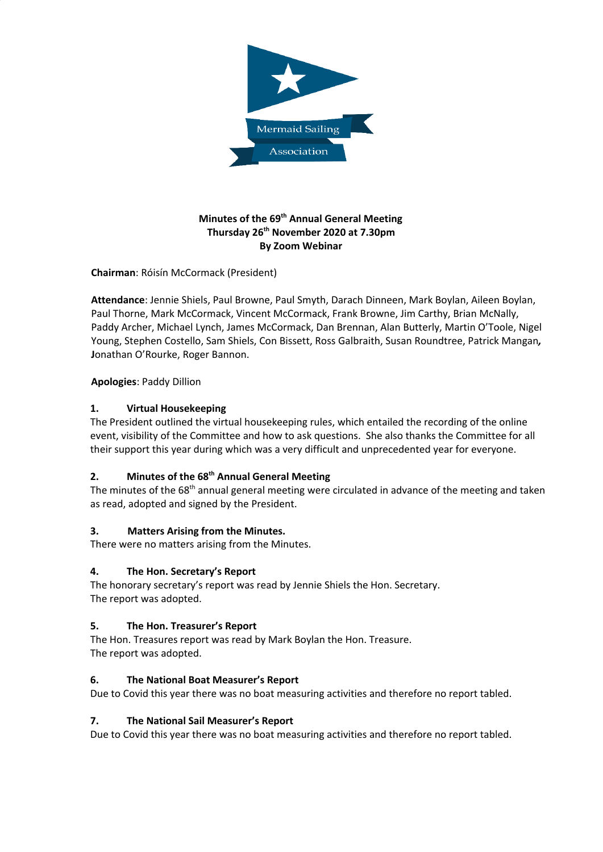

# **Minutes of the 69 th Annual General Meeting Thursday 26 th November 2020 at 7.30pm By Zoom Webinar**

**Chairman**: Róisín McCormack (President)

**Attendance**: Jennie Shiels, Paul Browne, Paul Smyth, Darach Dinneen, Mark Boylan, Aileen Boylan, Paul Thorne, Mark McCormack, Vincent McCormack, Frank Browne, Jim Carthy, Brian McNally, Paddy Archer, Michael Lynch, James McCormack, Dan Brennan, Alan Butterly, Martin O'Toole, Nigel Young, Stephen Costello, Sam Shiels, Con Bissett, Ross Galbraith, Susan Roundtree, Patrick Mangan*,* **J**onathan O'Rourke, Roger Bannon.

# **Apologies**: Paddy Dillion

# **1. Virtual Housekeeping**

The President outlined the virtual housekeeping rules, which entailed the recording of the online event, visibility of the Committee and how to ask questions. She also thanks the Committee for all their support this year during which was a very difficult and unprecedented year for everyone.

# **2. Minutes of the 68 th Annual General Meeting**

The minutes of the 68<sup>th</sup> annual general meeting were circulated in advance of the meeting and taken as read, adopted and signed by the President.

### **3. Matters Arising from the Minutes.**

There were no matters arising from the Minutes.

### **4. The Hon. Secretary's Report**

The honorary secretary's report was read by Jennie Shiels the Hon. Secretary. The report was adopted.

### **5. The Hon. Treasurer's Report**

The Hon. Treasures report was read by Mark Boylan the Hon. Treasure. The report was adopted.

### **6. The National Boat Measurer's Report**

Due to Covid this year there was no boat measuring activities and therefore no report tabled.

### **7. The National Sail Measurer's Report**

Due to Covid this year there was no boat measuring activities and therefore no report tabled.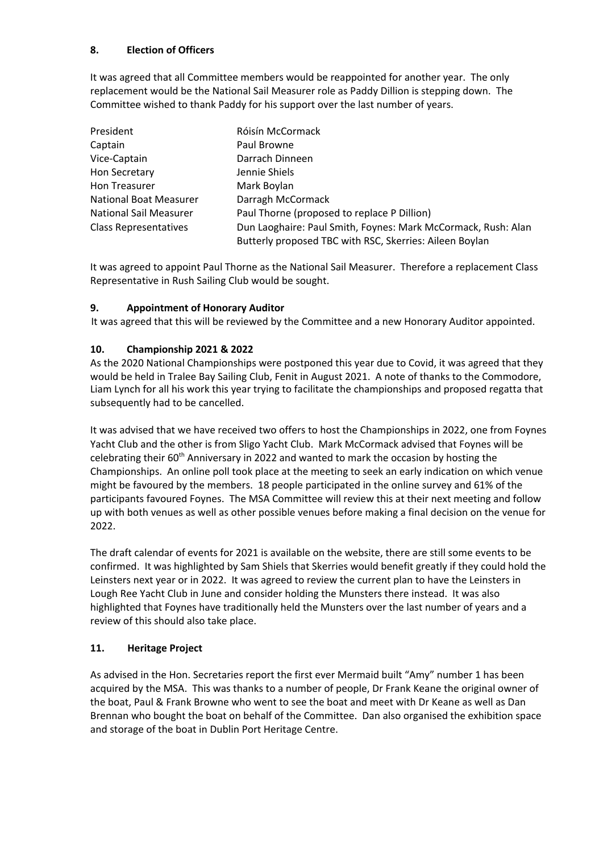# **8. Election of Officers**

It was agreed that all Committee members would be reappointed for another year. The only replacement would be the National Sail Measurer role as Paddy Dillion is stepping down. The Committee wished to thank Paddy for his support over the last number of years.

| President                     | Róisín McCormack                                              |
|-------------------------------|---------------------------------------------------------------|
| Captain                       | Paul Browne                                                   |
| Vice-Captain                  | Darrach Dinneen                                               |
| <b>Hon Secretary</b>          | Jennie Shiels                                                 |
| Hon Treasurer                 | Mark Boylan                                                   |
| <b>National Boat Measurer</b> | Darragh McCormack                                             |
| <b>National Sail Measurer</b> | Paul Thorne (proposed to replace P Dillion)                   |
| <b>Class Representatives</b>  | Dun Laoghaire: Paul Smith, Foynes: Mark McCormack, Rush: Alan |
|                               | Butterly proposed TBC with RSC, Skerries: Aileen Boylan       |

It was agreed to appoint Paul Thorne as the National Sail Measurer. Therefore a replacement Class Representative in Rush Sailing Club would be sought.

### **9. Appointment of Honorary Auditor**

It was agreed that this will be reviewed by the Committee and a new Honorary Auditor appointed.

### **10. Championship 2021 & 2022**

As the 2020 National Championships were postponed this year due to Covid, it was agreed that they would be held in Tralee Bay Sailing Club, Fenit in August 2021. A note of thanks to the Commodore, Liam Lynch for all his work this year trying to facilitate the championships and proposed regatta that subsequently had to be cancelled.

It was advised that we have received two offers to host the Championships in 2022, one from Foynes Yacht Club and the other is from Sligo Yacht Club. Mark McCormack advised that Foynes will be celebrating their 60<sup>th</sup> Anniversary in 2022 and wanted to mark the occasion by hosting the Championships. An online poll took place at the meeting to seek an early indication on which venue might be favoured by the members. 18 people participated in the online survey and 61% of the participants favoured Foynes. The MSA Committee will review this at their next meeting and follow up with both venues as well as other possible venues before making a final decision on the venue for 2022.

The draft calendar of events for 2021 is available on the website, there are still some events to be confirmed. It was highlighted by Sam Shiels that Skerries would benefit greatly if they could hold the Leinsters next year or in 2022. It was agreed to review the current plan to have the Leinsters in Lough Ree Yacht Club in June and consider holding the Munsters there instead. It was also highlighted that Foynes have traditionally held the Munsters over the last number of years and a review of this should also take place.

### **11. Heritage Project**

As advised in the Hon. Secretaries report the first ever Mermaid built "Amy" number 1 has been acquired by the MSA. This was thanks to a number of people, Dr Frank Keane the original owner of the boat, Paul & Frank Browne who went to see the boat and meet with Dr Keane as well as Dan Brennan who bought the boat on behalf of the Committee. Dan also organised the exhibition space and storage of the boat in Dublin Port Heritage Centre.